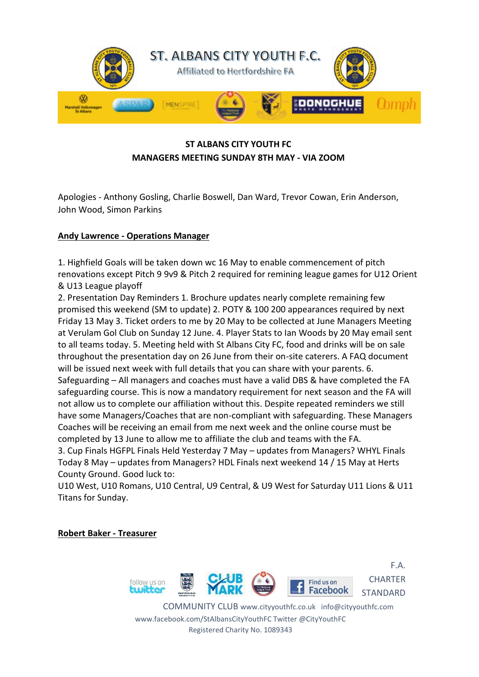

# **ST ALBANS CITY YOUTH FC MANAGERS MEETING SUNDAY 8TH MAY - VIA ZOOM**

Apologies - Anthony Gosling, Charlie Boswell, Dan Ward, Trevor Cowan, Erin Anderson, John Wood, Simon Parkins

## **Andy Lawrence - Operations Manager**

1. Highfield Goals will be taken down wc 16 May to enable commencement of pitch renovations except Pitch 9 9v9 & Pitch 2 required for remining league games for U12 Orient & U13 League playoff

2. Presentation Day Reminders 1. Brochure updates nearly complete remaining few promised this weekend (SM to update) 2. POTY & 100 200 appearances required by next Friday 13 May 3. Ticket orders to me by 20 May to be collected at June Managers Meeting at Verulam Gol Club on Sunday 12 June. 4. Player Stats to Ian Woods by 20 May email sent to all teams today. 5. Meeting held with St Albans City FC, food and drinks will be on sale throughout the presentation day on 26 June from their on-site caterers. A FAQ document will be issued next week with full details that you can share with your parents. 6. Safeguarding – All managers and coaches must have a valid DBS & have completed the FA safeguarding course. This is now a mandatory requirement for next season and the FA will not allow us to complete our affiliation without this. Despite repeated reminders we still have some Managers/Coaches that are non-compliant with safeguarding. These Managers Coaches will be receiving an email from me next week and the online course must be completed by 13 June to allow me to affiliate the club and teams with the FA.

3. Cup Finals HGFPL Finals Held Yesterday 7 May – updates from Managers? WHYL Finals Today 8 May – updates from Managers? HDL Finals next weekend 14 / 15 May at Herts County Ground. Good luck to:

U10 West, U10 Romans, U10 Central, U9 Central, & U9 West for Saturday U11 Lions & U11 Titans for Sunday.

**Robert Baker - Treasurer**



F.A. **CHARTER** STANDARD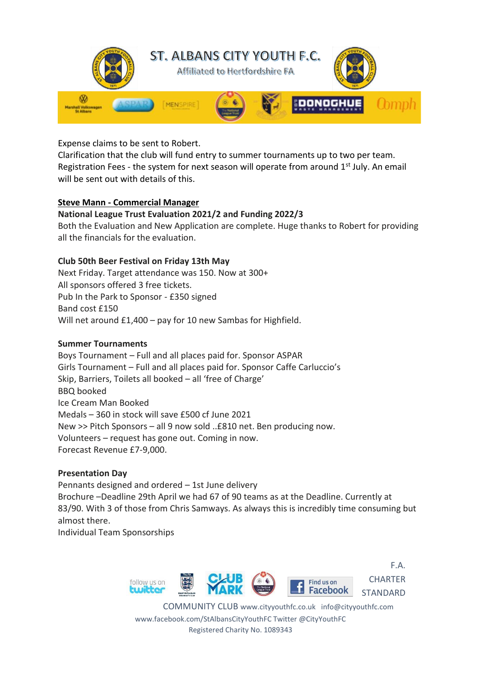

Expense claims to be sent to Robert.

Clarification that the club will fund entry to summer tournaments up to two per team. Registration Fees - the system for next season will operate from around  $1<sup>st</sup>$  July. An email will be sent out with details of this.

## **Steve Mann - Commercial Manager**

## **National League Trust Evaluation 2021/2 and Funding 2022/3**

Both the Evaluation and New Application are complete. Huge thanks to Robert for providing all the financials for the evaluation.

## **Club 50th Beer Festival on Friday 13th May**

Next Friday. Target attendance was 150. Now at 300+ All sponsors offered 3 free tickets. Pub In the Park to Sponsor - £350 signed Band cost £150 Will net around £1,400 – pay for 10 new Sambas for Highfield.

## **Summer Tournaments**

Boys Tournament – Full and all places paid for. Sponsor ASPAR Girls Tournament – Full and all places paid for. Sponsor Caffe Carluccio's Skip, Barriers, Toilets all booked – all 'free of Charge' BBQ booked Ice Cream Man Booked Medals – 360 in stock will save £500 cf June 2021 New >> Pitch Sponsors – all 9 now sold ..£810 net. Ben producing now. Volunteers – request has gone out. Coming in now. Forecast Revenue £7-9,000.

## **Presentation Day**

Pennants designed and ordered – 1st June delivery Brochure –Deadline 29th April we had 67 of 90 teams as at the Deadline. Currently at 83/90. With 3 of those from Chris Samways. As always this is incredibly time consuming but almost there.

Individual Team Sponsorships



F.A. **CHARTER** STANDARD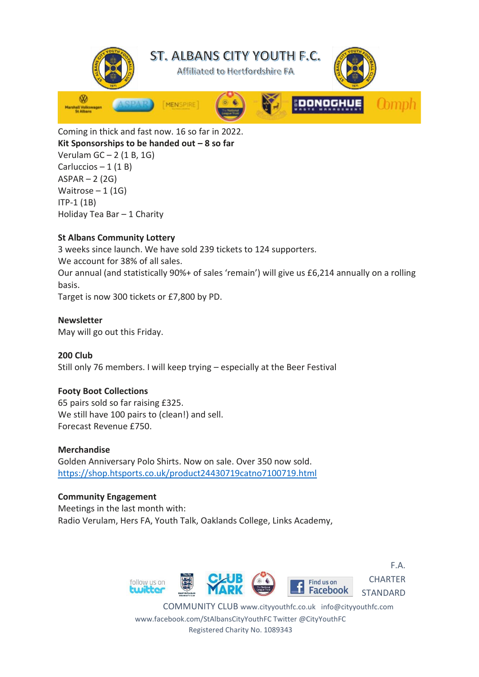

Coming in thick and fast now. 16 so far in 2022. **Kit Sponsorships to be handed out – 8 so far** Verulam  $GC - 2$  (1 B, 1G) Carluccios  $-1$  (1 B)  $ASPAR - 2 (2G)$ Waitrose  $-1$  (1G) ITP-1 (1B) Holiday Tea Bar – 1 Charity

## **St Albans Community Lottery**

3 weeks since launch. We have sold 239 tickets to 124 supporters. We account for 38% of all sales. Our annual (and statistically 90%+ of sales 'remain') will give us £6,214 annually on a rolling basis.

Target is now 300 tickets or £7,800 by PD.

#### **Newsletter**

May will go out this Friday.

# **200 Club**

Still only 76 members. I will keep trying – especially at the Beer Festival

## **Footy Boot Collections**

65 pairs sold so far raising £325. We still have 100 pairs to (clean!) and sell. Forecast Revenue £750.

#### **Merchandise**

Golden Anniversary Polo Shirts. Now on sale. Over 350 now sold. <https://shop.htsports.co.uk/product24430719catno7100719.html>

#### **Community Engagement**

Meetings in the last month with: Radio Verulam, Hers FA, Youth Talk, Oaklands College, Links Academy,



F.A. **CHARTER** STANDARD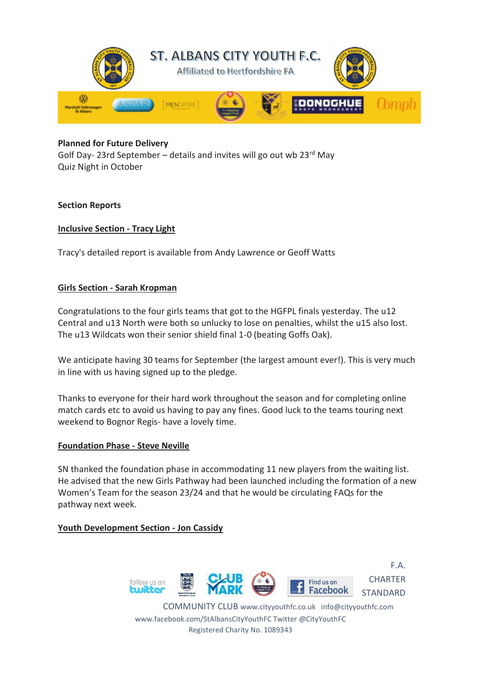

#### **Planned for Future Delivery**

Golf Day-23rd September – details and invites will go out wb  $23^{rd}$  May Quiz Night in October

#### **Section Reports**

#### **Inclusive Section - Tracy Light**

Tracy's detailed report is available from Andy Lawrence or Geoff Watts

#### **Girls Section - Sarah Kropman**

Congratulations to the four girls teams that got to the HGFPL finals yesterday. The u12 Central and u13 North were both so unlucky to lose on penalties, whilst the u15 also lost. The u13 Wildcats won their senior shield final 1-0 (beating Goffs Oak).

We anticipate having 30 teams for September (the largest amount ever!). This is very much in line with us having signed up to the pledge.

Thanks to everyone for their hard work throughout the season and for completing online match cards etc to avoid us having to pay any fines. Good luck to the teams touring next weekend to Bognor Regis- have a lovely time.

#### **Foundation Phase - Steve Neville**

SN thanked the foundation phase in accommodating 11 new players from the waiting list. He advised that the new Girls Pathway had been launched including the formation of a new Women's Team for the season 23/24 and that he would be circulating FAQs for the pathway next week.

#### **Youth Development Section - Jon Cassidy**



COMMUNITY CLUB www.cityyouthfc.co.uk info@cityyouthfc.com www.facebook.com/StAlbansCityYouthFC Twitter @CityYouthFC Registered Charity No. 1089343

F.A.